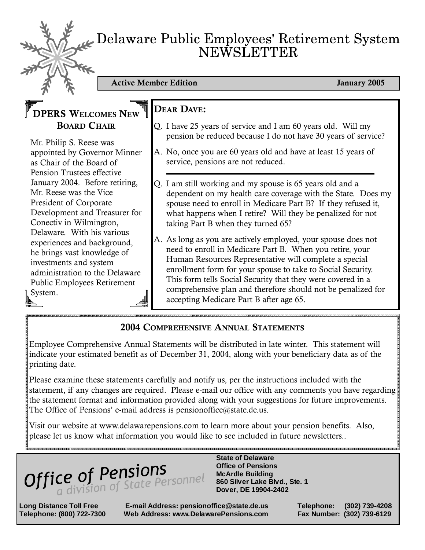# Delaware Public Employees' Retirement System NEWSLETTER

Active Member Edition **Active Member Edition** January 2005

## DPERS WELCOMES NEW BOARD CHAIR

Mr. Philip S. Reese was appointed by Governor Minner as Chair of the Board of Pension Trustees effective January 2004. Before retiring, Mr. Reese was the Vice President of Corporate Development and Treasurer for Conectiv in Wilmington, Delaware. With his various experiences and background, he brings vast knowledge of investments and system administration to the Delaware Public Employees Retirement System.

### DEAR DAVE:

- Q. I have 25 years of service and I am 60 years old. Will my pension be reduced because I do not have 30 years of service?
- A. No, once you are 60 years old and have at least 15 years of service, pensions are not reduced.
- Q. I am still working and my spouse is 65 years old and a dependent on my health care coverage with the State. Does my spouse need to enroll in Medicare Part B? If they refused it, what happens when I retire? Will they be penalized for not taking Part B when they turned 65?
- A. As long as you are actively employed, your spouse does not need to enroll in Medicare Part B. When you retire, your Human Resources Representative will complete a special enrollment form for your spouse to take to Social Security. This form tells Social Security that they were covered in a comprehensive plan and therefore should not be penalized for accepting Medicare Part B after age 65.

### 2004 COMPREHENSIVE ANNUAL STATEMENTS

Employee Comprehensive Annual Statements will be distributed in late winter. This statement will indicate your estimated benefit as of December 31, 2004, along with your beneficiary data as of the printing date.

Please examine these statements carefully and notify us, per the instructions included with the statement, if any changes are required. Please e-mail our office with any comments you have regarding the statement format and information provided along with your suggestions for future improvements. The Office of Pensions' e-mail address is pensionoffice@state.de.us.

Visit our website at www.delawarepensions.com to learn more about your pension benefits. Also, please let us know what information you would like to see included in future newsletters..



 **Office of Pensions McArdle Building 860 Silver Lake Blvd., Ste. 1 Dover, DE 19904-2402** 

**Long Distance Toll Free E-mail Address: pensionoffice@state.de.us Telephone: (302) 739-4208 Telephone: (800) 722-7300 Web Address: www.DelawarePensions.com Fax Number: (302) 739-6129**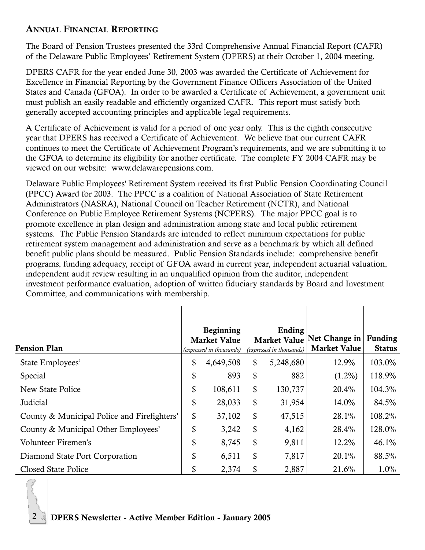#### ANNUAL FINANCIAL REPORTING

The Board of Pension Trustees presented the 33rd Comprehensive Annual Financial Report (CAFR) of the Delaware Public Employees' Retirement System (DPERS) at their October 1, 2004 meeting.

DPERS CAFR for the year ended June 30, 2003 was awarded the Certificate of Achievement for Excellence in Financial Reporting by the Government Finance Officers Association of the United States and Canada (GFOA). In order to be awarded a Certificate of Achievement, a government unit must publish an easily readable and efficiently organized CAFR. This report must satisfy both generally accepted accounting principles and applicable legal requirements.

A Certificate of Achievement is valid for a period of one year only. This is the eighth consecutive year that DPERS has received a Certificate of Achievement. We believe that our current CAFR continues to meet the Certificate of Achievement Program's requirements, and we are submitting it to the GFOA to determine its eligibility for another certificate. The complete FY 2004 CAFR may be viewed on our website: www.delawarepensions.com.

Delaware Public Employees' Retirement System received its first Public Pension Coordinating Council (PPCC) Award for 2003. The PPCC is a coalition of National Association of State Retirement Administrators (NASRA), National Council on Teacher Retirement (NCTR), and National Conference on Public Employee Retirement Systems (NCPERS). The major PPCC goal is to promote excellence in plan design and administration among state and local public retirement systems. The Public Pension Standards are intended to reflect minimum expectations for public retirement system management and administration and serve as a benchmark by which all defined benefit public plans should be measured. Public Pension Standards include: comprehensive benefit programs, funding adequacy, receipt of GFOA award in current year, independent actuarial valuation, independent audit review resulting in an unqualified opinion from the auditor, independent investment performance evaluation, adoption of written fiduciary standards by Board and Investment Committee, and communications with membership.

| <b>Pension Plan</b>                         | Beginning<br><b>Market Value</b><br>(expressed in thousands) |           | Ending<br><b>Market Value</b><br>(expressed in thousands) |           | Net Change in<br><b>Market Value</b> | <b>Funding</b><br><b>Status</b> |
|---------------------------------------------|--------------------------------------------------------------|-----------|-----------------------------------------------------------|-----------|--------------------------------------|---------------------------------|
| State Employees'                            | \$                                                           | 4,649,508 | \$                                                        | 5,248,680 | 12.9%                                | 103.0%                          |
| Special                                     | \$                                                           | 893       | \$                                                        | 882       | $(1.2\%)$                            | 118.9%                          |
| New State Police                            | \$                                                           | 108,611   | \$                                                        | 130,737   | 20.4%                                | 104.3%                          |
| Judicial                                    | \$                                                           | 28,033    | \$                                                        | 31,954    | 14.0%                                | 84.5%                           |
| County & Municipal Police and Firefighters' | \$                                                           | 37,102    | \$                                                        | 47,515    | 28.1%                                | 108.2%                          |
| County & Municipal Other Employees'         | \$                                                           | 3,242     | \$                                                        | 4,162     | 28.4%                                | 128.0%                          |
| Volunteer Firemen's                         | \$                                                           | 8,745     | \$                                                        | 9,811     | 12.2%                                | 46.1%                           |
| Diamond State Port Corporation              | \$                                                           | 6,511     | \$                                                        | 7,817     | 20.1%                                | 88.5%                           |
| Closed State Police                         | \$                                                           | 2,374     | \$                                                        | 2,887     | 21.6%                                | 1.0%                            |

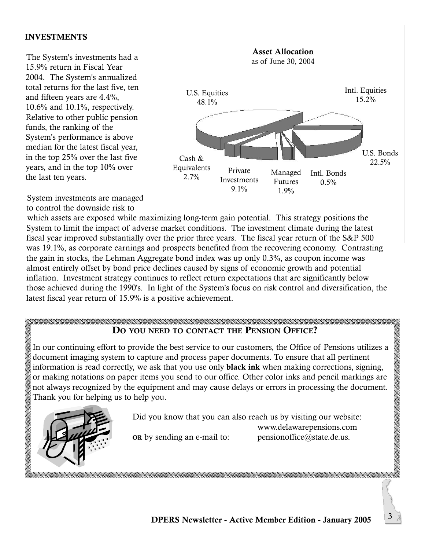#### INVESTMENTS

The System's investments had a 15.9% return in Fiscal Year 2004. The System's annualized total returns for the last five, ten and fifteen years are 4.4%, 10.6% and 10.1%, respectively. Relative to other public pension funds, the ranking of the System's performance is above median for the latest fiscal year, in the top 25% over the last five years, and in the top 10% over the last ten years.



System investments are managed to control the downside risk to

which assets are exposed while maximizing long-term gain potential. This strategy positions the System to limit the impact of adverse market conditions. The investment climate during the latest fiscal year improved substantially over the prior three years. The fiscal year return of the S&P 500 was 19.1%, as corporate earnings and prospects benefited from the recovering economy. Contrasting the gain in stocks, the Lehman Aggregate bond index was up only 0.3%, as coupon income was almost entirely offset by bond price declines caused by signs of economic growth and potential inflation. Investment strategy continues to reflect return expectations that are significantly below those achieved during the 1990's. In light of the System's focus on risk control and diversification, the latest fiscal year return of 15.9% is a positive achievement.

#### DO YOU NEED TO CONTACT THE PENSION OFFICE?

In our continuing effort to provide the best service to our customers, the Office of Pensions utilizes a document imaging system to capture and process paper documents. To ensure that all pertinent information is read correctly, we ask that you use only black ink when making corrections, signing, or making notations on paper items you send to our office. Other color inks and pencil markings are not always recognized by the equipment and may cause delays or errors in processing the document. Thank you for helping us to help you.



Did you know that you can also reach us by visiting our website: www.delawarepensions.com OR by sending an e-mail to: pensionoffice $@$ state.de.us.

AARAA AHA AHA AHA AHA AHA AHA AHA AHA